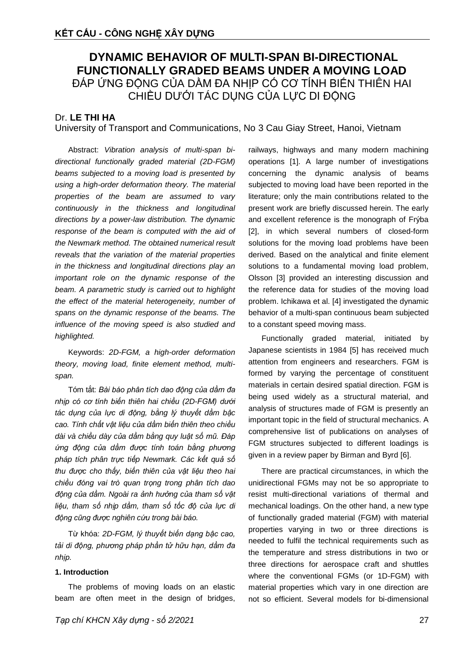# **DYNAMIC BEHAVIOR OF MULTI-SPAN BI-DIRECTIONAL FUNCTIONALLY GRADED BEAMS UNDER A MOVING LOAD** ĐÁP ỨNG ĐỘNG CỦA DẦM ĐA NHỊP CÓ CƠ TÍNH BIẾN THIÊN HAI CHIỀU DƯỚI TÁC DỤNG CỦA LỰC DI ĐỘNG

## Dr. **LE THI HA**

University of Transport and Communications, No 3 Cau Giay Street, Hanoi, Vietnam

Abstract: *Vibration analysis of multi-span bidirectional functionally graded material (2D-FGM) beams subjected to a moving load is presented by using a high-order deformation theory. The material properties of the beam are assumed to vary continuously in the thickness and longitudinal directions by a power-law distribution. The dynamic response of the beam is computed with the aid of the Newmark method. The obtained numerical result reveals that the variation of the material properties in the thickness and longitudinal directions play an important role on the dynamic response of the beam. A parametric study is carried out to highlight the effect of the material heterogeneity, number of spans on the dynamic response of the beams. The influence of the moving speed is also studied and highlighted.*

Keywords: *2D-FGM, a high-order deformation theory, moving load, finite element method, multispan.*

Tóm tắt: *Bài báo phân tích dao động của dầm đa nhịp có cơ tính biến thiên hai chiều (2D-FGM) dưới tác dụng của lực di động, bằng lý thuyết dầm bậc cao. Tính chất vật liệu của dầm biến thiên theo chiều dài và chiều dày của dầm bằng quy luật số mũ. Đáp ứng động của dầm được tính toán bằng phương pháp tích phân trực tiếp Newmark. Các kết quả số thu được cho thấy, biến thiên của vật liệu theo hai chiều đóng vai trò quan trọng trong phân tích dao động của dầm. Ngoài ra ảnh hưởng của tham số vật liệu, tham số nhịp dầm, tham số tốc độ của lực di động cũng được nghiên cứu trong bài báo.*

Từ khóa: *2D-FGM, lý thuyết biến dạng bậc cao, tải di động, phương pháp phần tử hữu hạn, dầm đa nhịp.*

## **1. Introduction**

The problems of moving loads on an elastic beam are often meet in the design of bridges, railways, highways and many modern machining operations [1]. A large number of investigations concerning the dynamic analysis of beams subjected to moving load have been reported in the literature; only the main contributions related to the present work are briefly discussed herein. The early and excellent reference is the monograph of Frýba [2], in which several numbers of closed-form solutions for the moving load problems have been derived. Based on the analytical and finite element solutions to a fundamental moving load problem, Olsson [3] provided an interesting discussion and the reference data for studies of the moving load problem. Ichikawa et al. [4] investigated the dynamic behavior of a multi-span continuous beam subjected to a constant speed moving mass.

Functionally graded material, initiated by Japanese scientists in 1984 [5] has received much attention from engineers and researchers. FGM is formed by varying the percentage of constituent materials in certain desired spatial direction. FGM is being used widely as a structural material, and analysis of structures made of FGM is presently an important topic in the field of structural mechanics. A comprehensive list of publications on analyses of FGM structures subjected to different loadings is given in a review paper by Birman and Byrd [6].

There are practical circumstances, in which the unidirectional FGMs may not be so appropriate to resist multi-directional variations of thermal and mechanical loadings. On the other hand, a new type of functionally graded material (FGM) with material properties varying in two or three directions is needed to fulfil the technical requirements such as the temperature and stress distributions in two or three directions for aerospace craft and shuttles where the conventional FGMs (or 1D-FGM) with material properties which vary in one direction are not so efficient. Several models for bi-dimensional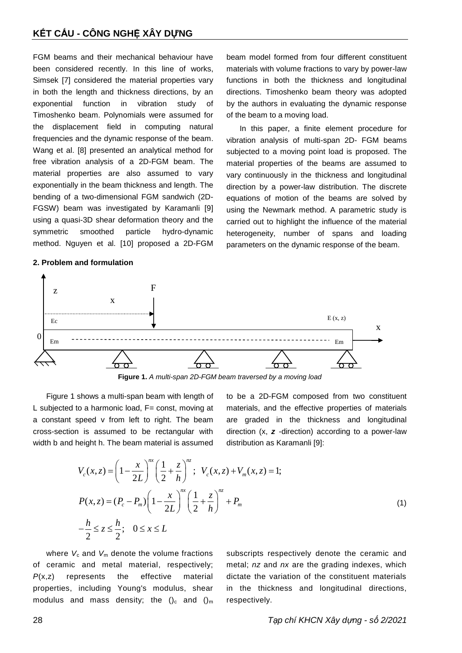FGM beams and their mechanical behaviour have been considered recently. In this line of works, Simsek [7] considered the material properties vary in both the length and thickness directions, by an exponential function in vibration study of Timoshenko beam. Polynomials were assumed for the displacement field in computing natural frequencies and the dynamic response of the beam. Wang et al. [8] presented an analytical method for free vibration analysis of a 2D-FGM beam. The material properties are also assumed to vary exponentially in the beam thickness and length. The bending of a two-dimensional FGM sandwich (2D-FGSW) beam was investigated by Karamanli [9] using a quasi-3D shear deformation theory and the symmetric smoothed particle hydro-dynamic method. Nguyen et al. [10] proposed a 2D-FGM

## **2. Problem and formulation**

beam model formed from four different constituent materials with volume fractions to vary by power-law functions in both the thickness and longitudinal directions. Timoshenko beam theory was adopted by the authors in evaluating the dynamic response of the beam to a moving load.

In this paper, a finite element procedure for vibration analysis of multi-span 2D- FGM beams subjected to a moving point load is proposed. The material properties of the beams are assumed to vary continuously in the thickness and longitudinal direction by a power-law distribution. The discrete equations of motion of the beams are solved by using the Newmark method. A parametric study is carried out to highlight the influence of the material heterogeneity, number of spans and loading parameters on the dynamic response of the beam.



**Figure 1.** *A multi-span 2D-FGM beam traversed by a moving load*

Figure 1 shows a multi-span beam with length of L subjected to a harmonic load, F= const, moving at a constant speed v from left to right. The beam cross-section is assumed to be rectangular with

to be a 2D-FGM composed from two constituent materials, and the effective properties of materials are graded in the thickness and longitudinal direction (x, *z* -direction) according to a power-law distribution as Karamanli [9]:

width b and height h. The beam material is assumed distribution as Karamanli [9]:  
\n
$$
V_c(x, z) = \left(1 - \frac{x}{2L}\right)^{nx} \left(\frac{1}{2} + \frac{z}{h}\right)^{nz}; \quad V_c(x, z) + V_m(x, z) = 1;
$$
\n
$$
P(x, z) = (P_c - P_m) \left(1 - \frac{x}{2L}\right)^{nx} \left(\frac{1}{2} + \frac{z}{h}\right)^{nz} + P_m
$$
\n
$$
-\frac{h}{2} \le z \le \frac{h}{2}; \quad 0 \le x \le L
$$
\n(1)

where  $V_c$  and  $V_m$  denote the volume fractions of ceramic and metal material, respectively; *P*(x,z) represents the effective material properties, including Young's modulus, shear modulus and mass density; the  $()_c$  and  $()_m$ 

subscripts respectively denote the ceramic and metal; *nz* and *nx* are the grading indexes, which dictate the variation of the constituent materials in the thickness and longitudinal directions, respectively.

28 *Tạp chí KHCN Xây dựng - số 2/2021*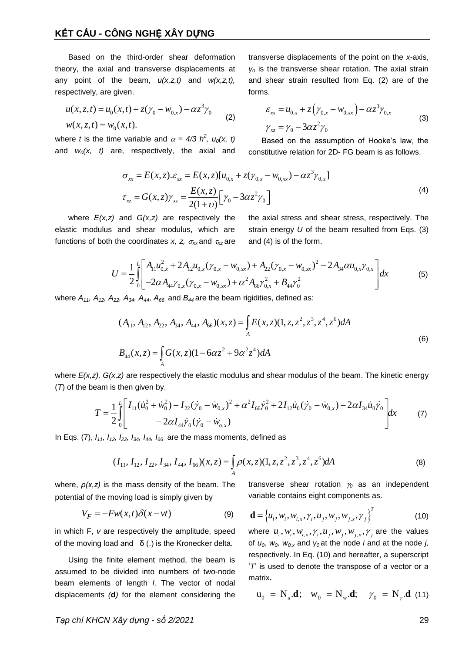Based on the third-order shear deformation theory, the axial and transverse displacements at any point of the beam, *u(x,z,t)* and *w(x,z,t),* respectively, are given.

$$
u(x, z, t) = u_0(x, t) + z(\gamma_0 - w_{0,x}) - \alpha z^3 \gamma_0
$$
  

$$
w(x, z, t) = w_0(x, t).
$$
 (2)

where *t* is the time variable and  $\alpha = 4/3$   $h^2$ ,  $u_0(x, t)$ and *w0(x, t)* are, respectively, the axial and transverse displacements of the point on the *x*-axis, *γ<sup>0</sup>* is the transverse shear rotation. The axial strain and shear strain resulted from Eq. (2) are of the forms.

$$
\varepsilon_{xx} = u_{0,x} + z(\gamma_{0,x} - w_{0,xx}) - \alpha z^3 \gamma_{0,x}
$$
  

$$
\gamma_{xz} = \gamma_0 - 3\alpha z^2 \gamma_0
$$
 (3)

Based on the assumption of Hooke's law, the constitutive relation for 2D- FG beam is as follows.

$$
\sigma_{xx} = E(x, z). \varepsilon_{xx} = E(x, z)[u_{0,x} + z(\gamma_{0,x} - w_{0,xx}) - \alpha z^3 \gamma_{0,x}]
$$
\n
$$
\sigma_{xz} = G(x, z) \gamma_{xz} = \frac{E(x, z)}{2(1 + \nu)} \Big[ \gamma_0 - 3\alpha z^2 \gamma_0 \Big]
$$
\n(4)

where *E(x,z)* and *G(x,z)* are respectively the elastic modulus and shear modulus, which are functions of both the coordinates *x*, *z*,  $\sigma_{xx}$  and  $\tau_{xz}$  are the axial stress and shear stress, respectively. The strain energy *U* of the beam resulted from Eqs. (3) and (4) is of the form.

$$
U = \frac{1}{2} \int_{0}^{L} \left[ A_{11} u_{0,x}^{2} + 2A_{12} u_{0,x} (\gamma_{0,x} - w_{0,xx}) + A_{22} (\gamma_{0,x} - w_{0,xx})^{2} - 2A_{34} \alpha u_{0,x} \gamma_{0,x} \right] dx
$$
\n
$$
U = \frac{1}{2} \int_{0}^{L} \left[ A_{11} u_{0,x}^{2} + 2A_{12} u_{0,x} (\gamma_{0,x} - w_{0,xx}) + A_{22} (\gamma_{0,x} - w_{0,xx})^{2} - 2A_{34} \alpha u_{0,x} \gamma_{0,x} \right] dx
$$
\n(5)

where 
$$
A_{11}
$$
,  $A_{12}$ ,  $A_{22}$ ,  $A_{34}$ ,  $A_{44}$ ,  $A_{66}$  and  $B_{44}$  are the beam rigidities, defined as:  
\n
$$
(A_{11}, A_{12}, A_{22}, A_{34}, A_{44}, A_{66})(x, z) = \int_A E(x, z)(1, z, z^2, z^3, z^4, z^6) dA
$$
\n
$$
B_{44}(x, z) = \int_A G(x, z)(1 - 6\alpha z^2 + 9\alpha^2 z^4) dA
$$
\n(6)

where *E(x,z), G(x,z)* are respectively the elastic modulus and shear modulus of the beam. The kinetic energy (*T*) of the beam is then given by.<br>  $T = \frac{1}{2} \int_0^L \left[ I_{11} (i \dot{u}_0^2 + \dot{w}_0^2) + I_{22} (\dot{y}_0 - \dot{w}_{0,x})^2 + \alpha^2 I_{$ (*T*) of the beam is then given by. en by.<br>  $\frac{2}{10} + \dot{w}_0^2$  +  $I_{22}(\dot{\gamma}_0 - \dot{w}_{0x})^2 + \alpha^2 I_{66} \dot{\gamma}_0^2$ 

$$
Z = \frac{1}{2} \int_{0}^{L} \left[ I_{11} (\dot{u}_{0}^{2} + \dot{w}_{0}^{2}) + I_{22} (\dot{y}_{0} - \dot{w}_{0,x})^{2} + \alpha^{2} I_{66} \dot{y}_{0}^{2} + 2 I_{12} \dot{u}_{0} (\dot{y}_{0} - \dot{w}_{0,x}) - 2 \alpha I_{34} \dot{u}_{0} \dot{y}_{0} \right] dx
$$
\n
$$
T = \frac{1}{2} \int_{0}^{L} \left[ I_{11} (\dot{u}_{0}^{2} + \dot{w}_{0}^{2}) + I_{22} (\dot{y}_{0} - \dot{w}_{0,x})^{2} + \alpha^{2} I_{66} \dot{y}_{0}^{2} + 2 I_{12} \dot{u}_{0} (\dot{y}_{0} - \dot{w}_{0,x}) - 2 \alpha I_{34} \dot{u}_{0} \dot{y}_{0} \right] dx
$$
\n(7)

In Eqs. (7), 
$$
I_{11}
$$
,  $I_{12}$ ,  $I_{22}$ ,  $I_{34}$ ,  $I_{44}$ ,  $I_{66}$  are the mass moments, defined as  
\n
$$
(I_{11}, I_{12}, I_{22}, I_{34}, I_{44}, I_{66})(x, z) = \int_A \rho(x, z)(1, z, z^2, z^3, z^4, z^6) dA
$$
\n(8)

where,  $\rho(x, z)$  is the mass density of the beam. The potential of the moving load is simply given by

$$
V_F = -Fw(x,t)\delta(x - vt) \tag{9}
$$

in which F, *v* are respectively the amplitude, speed of the moving load and  $\delta$  (.) is the Kronecker delta.

Using the finite element method, the beam is assumed to be divided into numbers of two-node beam elements of length *l*. The vector of nodal displacements *(***d***)* for the element considering the

transverse shear rotation  $y_0$  as an independent variable contains eight components as.

$$
\mathbf{d} = \left\{ u_i, w_i, w_{i,x}, \gamma_i, u_j, w_{j,x}, \gamma_j \right\}^T
$$
 (10)

where  $u_i$ ,  $w_i$ ,  $w_{i,x}$ ,  $\gamma_i$ ,  $u_j$ ,  $w_{j,x}$ ,  $\gamma_j$  are the values of *u0, w0, w0,x* and *γ<sup>0</sup>* at the node *i* and at the node *j,* respectively. In Eq. (10) and hereafter, a superscript '*T*' is used to denote the transpose of a vector or a matrix**.**

$$
\mathbf{u}_0 = \mathbf{N}_u \mathbf{d}; \quad \mathbf{w}_0 = \mathbf{N}_w \mathbf{d}; \quad \gamma_0 = \mathbf{N}_\gamma \mathbf{d} \tag{11}
$$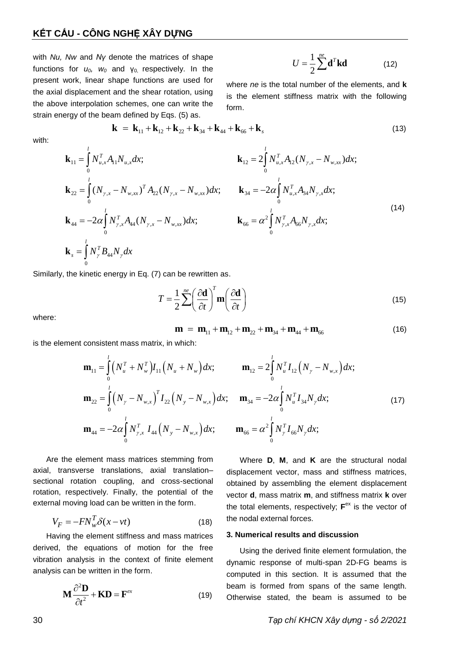## **KẾT CẤU - CÔNG NGHỆ XÂY DỰNG**

with *Nu, Nw* and *Nγ* denote the matrices of shape functions for  $u_0$ ,  $w_0$  and  $y_0$  respectively. In the present work, linear shape functions are used for the axial displacement and the shear rotation, using the above interpolation schemes, one can write the strain energy of the beam defined by Eqs. (5) as.

1 2  $U = \frac{1}{2} \sum_{n=1}^{ne} \mathbf{d}^{T} \mathbf{k} \mathbf{d}$  (12)

where *ne* is the total number of the elements, and **k** is the element stiffness matrix with the following form.

am defined by Eqs. (5) as.  
\n**k** = 
$$
\mathbf{k}_{11} + \mathbf{k}_{12} + \mathbf{k}_{22} + \mathbf{k}_{34} + \mathbf{k}_{44} + \mathbf{k}_{66} + \mathbf{k}_{s}
$$
 (13)

with:

$$
\mathbf{r}_{\text{c}} = \mathbf{r}_{\text{c}} \mathbf{r}_{\text{c}} \mathbf{r}_{\text{c}} \mathbf{r}_{\text{c}} \mathbf{r}_{\text{c}} \mathbf{r}_{\text{c}} \mathbf{r}_{\text{c}} \mathbf{r}_{\text{c}} \mathbf{r}_{\text{c}} \mathbf{r}_{\text{c}} \mathbf{r}_{\text{c}} \mathbf{r}_{\text{c}} \mathbf{r}_{\text{c}} \mathbf{r}_{\text{c}} \mathbf{r}_{\text{c}} \mathbf{r}_{\text{c}} \mathbf{r}_{\text{c}} \mathbf{r}_{\text{c}} \mathbf{r}_{\text{c}} \mathbf{r}_{\text{c}} \mathbf{r}_{\text{c}} \mathbf{r}_{\text{c}} \mathbf{r}_{\text{c}} \mathbf{r}_{\text{c}} \mathbf{r}_{\text{c}} \mathbf{r}_{\text{c}} \mathbf{r}_{\text{c}} \mathbf{r}_{\text{c}} \mathbf{r}_{\text{c}} \mathbf{r}_{\text{c}} \mathbf{r}_{\text{c}} \mathbf{r}_{\text{c}} \mathbf{r}_{\text{c}} \mathbf{r}_{\text{c}} \mathbf{r}_{\text{c}} \mathbf{r}_{\text{c}} \mathbf{r}_{\text{c}} \mathbf{r}_{\text{c}} \mathbf{r}_{\text{c}} \mathbf{r}_{\text{c}} \mathbf{r}_{\text{c}} \mathbf{r}_{\text{c}} \mathbf{r}_{\text{c}} \mathbf{r}_{\text{c}} \mathbf{r}_{\text{c}} \mathbf{r}_{\text{c}} \mathbf{r}_{\text{c}} \mathbf{r}_{\text{c}} \mathbf{r}_{\text{c}} \mathbf{r}_{\text{c}} \mathbf{r}_{\text{c}} \mathbf{r}_{\text{c}} \mathbf{r}_{\text{c}} \mathbf{r}_{\text{c}} \mathbf{r}_{\text{c}} \mathbf{r}_{\text{c}} \mathbf{r}_{\text{c}} \mathbf{r}_{\text{c}} \mathbf{r}_{\text{c}} \mathbf{r}_{\text{c}} \mathbf{r}_{\text{c}} \mathbf{r}_{\text{c}} \mathbf{r}_{\text{c}} \mathbf{r}_{\text{c}} \mathbf{r}_{\text{c}} \mathbf{r}_{\text{c}} \mathbf{r}_{\text{c}} \mathbf{r}_{\text{c}}
$$

Similarly, the kinetic energy in Eq. (7) can be rewritten as.

$$
T = \frac{1}{2} \sum_{i=1}^{n_e} \left(\frac{\partial \mathbf{d}}{\partial t}\right)^T \mathbf{m} \left(\frac{\partial \mathbf{d}}{\partial t}\right)
$$
(15)

where:

$$
\mathbf{m} = \mathbf{m}_{11} + \mathbf{m}_{12} + \mathbf{m}_{22} + \mathbf{m}_{34} + \mathbf{m}_{44} + \mathbf{m}_{66}
$$
 (16)

$$
\mathbf{m} = \mathbf{m}_{11} + \mathbf{m}_{12} + \mathbf{m}_{22} + \mathbf{m}_{34} + \mathbf{m}_{44} + \mathbf{m}_{66}
$$
(16)  
\nis the element consistent mass matrix, in which:  
\n
$$
\mathbf{m}_{11} = \int_{0}^{l} \left( N_{u}^{T} + N_{w}^{T} \right) I_{11} \left( N_{u} + N_{w} \right) dx; \qquad \mathbf{m}_{12} = 2 \int_{0}^{l} N_{u}^{T} I_{12} \left( N_{y} - N_{w,x} \right) dx; \n\mathbf{m}_{22} = \int_{0}^{l} \left( N_{y} - N_{w,x} \right)^{T} I_{22} \left( N_{y} - N_{w,x} \right) dx; \qquad \mathbf{m}_{34} = -2 \alpha \int_{0}^{l} N_{u}^{T} I_{34} N_{y} dx; \n\mathbf{m}_{44} = -2 \alpha \int_{0}^{l} N_{y,x}^{T} I_{44} \left( N_{y} - N_{w,x} \right) dx; \qquad \mathbf{m}_{66} = \alpha^{2} \int_{0}^{l} N_{y}^{T} I_{66} N_{y} dx; \qquad (17)
$$

Are the element mass matrices stemming from axial, transverse translations, axial translation– sectional rotation coupling, and cross-sectional rotation, respectively. Finally, the potential of the external moving load can be written in the form.

$$
V_F = -FN_w^T \delta(x - vt) \tag{18}
$$

Having the element stiffness and mass matrices derived, the equations of motion for the free vibration analysis in the context of finite element analysis can be written in the form.

$$
\mathbf{M} \frac{\partial^2 \mathbf{D}}{\partial t^2} + \mathbf{K} \mathbf{D} = \mathbf{F}^{ex}
$$
 (19)

Where **D**, **M**, and **K** are the structural nodal displacement vector, mass and stiffness matrices, obtained by assembling the element displacement vector **d**, mass matrix **m**, and stiffness matrix **k** over the total elements, respectively;  $F^{ex}$  is the vector of the nodal external forces.

#### **3. Numerical results and discussion**

Using the derived finite element formulation, the dynamic response of multi-span 2D-FG beams is computed in this section. It is assumed that the beam is formed from spans of the same length. Otherwise stated, the beam is assumed to be

30 *Tạp chí KHCN Xây dựng - số 2/2021*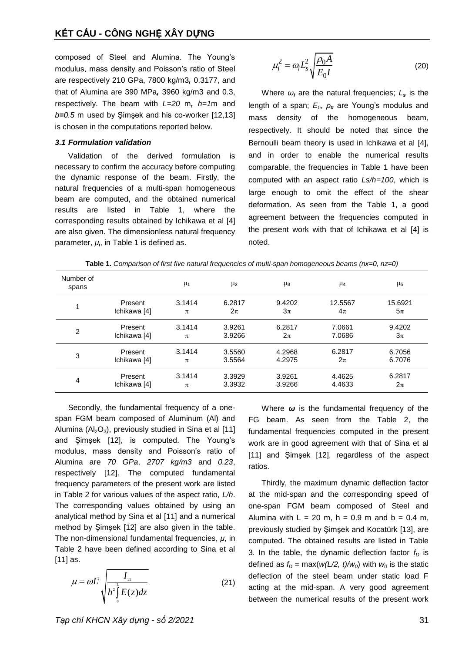composed of Steel and Alumina. The Young's modulus, mass density and Poisson's ratio of Steel are respectively 210 GPa, 7800 kg/m3*,* 0.3177, and that of Alumina are 390 MPa*,* 3960 kg/m3 and 0.3, respectively. The beam with *L=20* m*, h=1*m and *b***=***0.5* m used by Şimşek and his co-worker [12,13] is chosen in the computations reported below.

### *3.1 Formulation validation*

Validation of the derived formulation is necessary to confirm the accuracy before computing the dynamic response of the beam. Firstly, the natural frequencies of a multi-span homogeneous beam are computed, and the obtained numerical results are listed in Table 1, where the corresponding results obtained by Ichikawa et al [4] are also given. The dimensionless natural frequency parameter, *μ<sub>i</sub>,* in Table 1 is defined as.

$$
\mu_i^2 = \omega_i L_s^2 \sqrt{\frac{\rho_0 A}{E_0 I}}
$$
 (20)

Where  $\omega_i$  are the natural frequencies;  $L_s$  is the length of a span; *E*0, *ρ<sup>0</sup>* are Young's modulus and mass density of the homogeneous beam, respectively. It should be noted that since the Bernoulli beam theory is used in Ichikawa et al [4], and in order to enable the numerical results comparable, the frequencies in Table 1 have been computed with an aspect ratio *Ls/h=100*, which is large enough to omit the effect of the shear deformation. As seen from the Table 1, a good agreement between the frequencies computed in the present work with that of Ichikawa et al [4] is noted.

| Number of<br>$\mu_1$<br>$\mu$ <sub>2</sub><br>$\mu$ <sub>5</sub><br>$\mu_3$<br>μ4<br>spans<br>3.1414<br>9.4202<br>12.5567<br>6.2817<br>Present<br>1<br>Ichikawa [4]<br>$2\pi$<br>$5\pi$<br>$3\pi$<br>$4\pi$<br>$\pi$ |                             |                  |                  |
|----------------------------------------------------------------------------------------------------------------------------------------------------------------------------------------------------------------------|-----------------------------|------------------|------------------|
|                                                                                                                                                                                                                      |                             |                  |                  |
|                                                                                                                                                                                                                      |                             |                  | 15.6921          |
| 2<br>Ichikawa [4]<br>7.0686<br>3.9266<br>$3\pi$<br>$2\pi$<br>$\pi$                                                                                                                                                   | 3.1414<br>3.9261<br>Present | 6.2817<br>7.0661 | 9.4202           |
| 3.1414<br>6.2817<br>4.2968<br>3.5560<br>Present<br>3<br>4.2975<br>Ichikawa [4]<br>3.5564<br>$2\pi$<br>π                                                                                                              |                             |                  | 6.7056<br>6.7076 |
| 3.1414<br>3.3929<br>3.9261<br>4.4625<br>6.2817<br>Present<br>4<br>Ichikawa [4]<br>3.3932<br>3.9266<br>4.4633<br>$2\pi$<br>$\pi$                                                                                      |                             |                  |                  |

**Table 1.** *Comparison of first five natural frequencies of multi-span homogeneous beams (nx=0, nz=0)*

Secondly, the fundamental frequency of a onespan FGM beam composed of Aluminum (Al) and Alumina ( $Al_2O_3$ ), previously studied in Sina et al [11] and Şimşek [12], is computed. The Young's modulus, mass density and Poisson's ratio of Alumina are *70 GPa*, *2707 kg/m3* and *0.23*, respectively [12]. The computed fundamental frequency parameters of the present work are listed in Table 2 for various values of the aspect ratio, *L/h*. The corresponding values obtained by using an analytical method by Sina et al [11] and a numerical method by Şimşek [12] are also given in the table. The non-dimensional fundamental frequencies, *μ*, in Table 2 have been defined according to Sina et al [11] as.

$$
\mu = \omega L^2 \sqrt{\frac{I_{\text{II}}}{h^2 \int\limits_0^L E(z) dz}}
$$
 (21)

Where *ω* is the fundamental frequency of the FG beam. As seen from the Table 2, the fundamental frequencies computed in the present work are in good agreement with that of Sina et al [11] and Şimşek [12], regardless of the aspect ratios.

Thirdly, the maximum dynamic deflection factor at the mid-span and the corresponding speed of one-span FGM beam composed of Steel and Alumina with  $L = 20$  m, h = 0.9 m and b = 0.4 m, previously studied by Şimşek and Kocatürk [13], are computed. The obtained results are listed in Table 3. In the table, the dynamic deflection factor  $f<sub>D</sub>$  is defined as  $f<sub>D</sub> = max(w(L/2, t)/w<sub>0</sub>)$  with  $w<sub>0</sub>$  is the static deflection of the steel beam under static load F acting at the mid-span. A very good agreement between the numerical results of the present work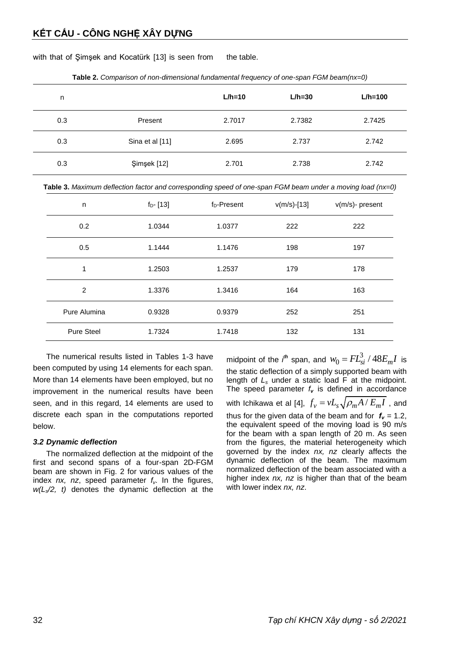with that of Şimşek and Kocatürk [13] is seen from the table.

| n   |                 | $L/h=10$ | $L/h = 30$ | $L/h = 100$ |
|-----|-----------------|----------|------------|-------------|
| 0.3 | Present         | 2.7017   | 2.7382     | 2.7425      |
| 0.3 | Sina et al [11] | 2.695    | 2.737      | 2.742       |
| 0.3 | Şimşek [12]     | 2.701    | 2.738      | 2.742       |

**Table 2.** *Comparison of non-dimensional fundamental frequency of one-span FGM beam(nx=0)*

**Table 3.** *Maximum deflection factor and corresponding speed of one-span FGM beam under a moving load (nx=0)*

| n                 | $f_{D}$ - [13] | $fD$ -Present | $v(m/s)$ -[13] | $v(m/s)$ - present |
|-------------------|----------------|---------------|----------------|--------------------|
| 0.2               | 1.0344         | 1.0377        | 222            | 222                |
| 0.5               | 1.1444         | 1.1476        | 198            | 197                |
| 1                 | 1.2503         | 1.2537        | 179            | 178                |
| $\overline{2}$    | 1.3376         | 1.3416        | 164            | 163                |
| Pure Alumina      | 0.9328         | 0.9379        | 252            | 251                |
| <b>Pure Steel</b> | 1.7324         | 1.7418        | 132            | 131                |

The numerical results listed in Tables 1-3 have been computed by using 14 elements for each span. More than 14 elements have been employed, but no improvement in the numerical results have been seen, and in this regard, 14 elements are used to discrete each span in the computations reported below.

## *3.2 Dynamic deflection*

The normalized deflection at the midpoint of the first and second spans of a four-span 2D-FGM beam are shown in Fig. 2 for various values of the index *nx, nz*, speed parameter *fv*. In the figures, *w(Ls/2, t)* denotes the dynamic deflection at the

midpoint of the *i*<sup>*th*</sup> span, and  $w_0 = FL_s^3$  $w_0 = FL_{si}^3 / 48E_mI$  is the static deflection of a simply supported beam with length of *L<sup>s</sup>* under a static load F at the midpoint. The speed parameter  $f_v$  is defined in accordance with Ichikawa et al [4],  $\,f_{\nu} = \nu L_{_S}\sqrt{\rho_m A \,/\, E_m I}\,$  , and thus for the given data of the beam and for  $f_v = 1.2$ , the equivalent speed of the moving load is 90 m/s for the beam with a span length of 20 m. As seen from the figures, the material heterogeneity which governed by the index *nx, nz* clearly affects the dynamic deflection of the beam. The maximum normalized deflection of the beam associated with a higher index *nx, nz* is higher than that of the beam with lower index *nx, nz*.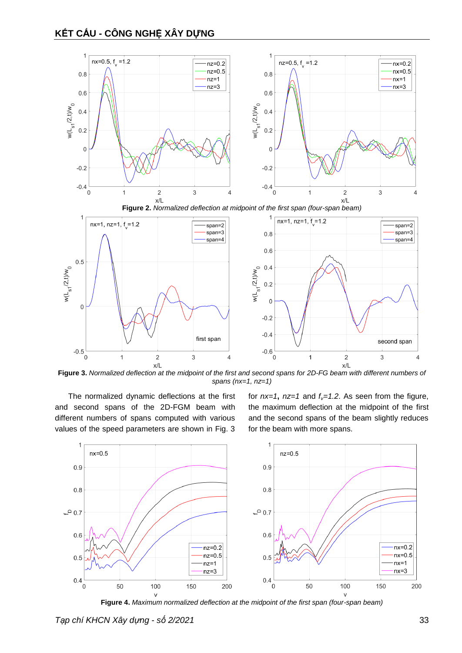



**Figure 3.** *Normalized deflection at the midpoint of the first and second spans for 2D-FG beam with different numbers of spans (nx=1, nz=1)*

The normalized dynamic deflections at the first and second spans of the 2D-FGM beam with different numbers of spans computed with various values of the speed parameters are shown in Fig. 3

for  $nx=1$ ,  $nz=1$  and  $f<sub>v</sub>=1.2$ . As seen from the figure, the maximum deflection at the midpoint of the first and the second spans of the beam slightly reduces for the beam with more spans.



**Figure 4.** *Maximum normalized deflection at the midpoint of the first span (four-span beam)*

*Tạp chí KHCN Xây dựng - số 2/2021* 33